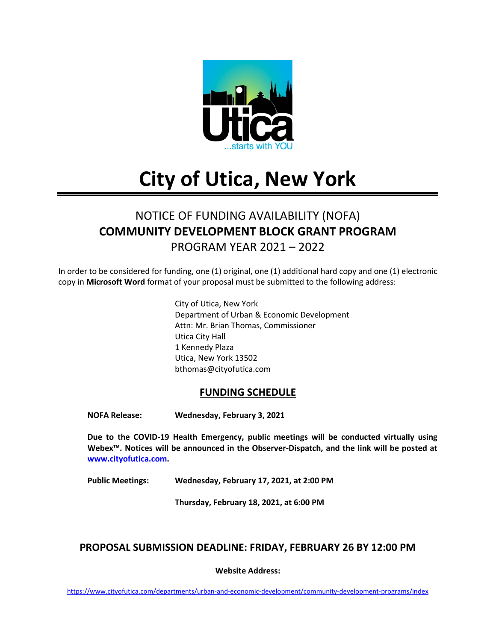

# **City of Utica, New York**

# NOTICE OF FUNDING AVAILABILITY (NOFA) **COMMUNITY DEVELOPMENT BLOCK GRANT PROGRAM** PROGRAM YEAR 2021 – 2022

In order to be considered for funding, one (1) original, one (1) additional hard copy and one (1) electronic copy in **Microsoft Word** format of your proposal must be submitted to the following address:

> City of Utica, New York Department of Urban & Economic Development Attn: Mr. Brian Thomas, Commissioner Utica City Hall 1 Kennedy Plaza Utica, New York 13502 bthomas@cityofutica.com

#### **FUNDING SCHEDULE**

**NOFA Release: Wednesday, February 3, 2021**

**Due to the COVID-19 Health Emergency, public meetings will be conducted virtually using Webex™. Notices will be announced in the Observer-Dispatch, and the link will be posted at [www.cityofutica.com.](http://www.cityofutica.com/)** 

**Public Meetings: Wednesday, February 17, 2021, at 2:00 PM**

**Thursday, February 18, 2021, at 6:00 PM**

#### **PROPOSAL SUBMISSION DEADLINE: FRIDAY, FEBRUARY 26 BY 12:00 PM**

**Website Address:**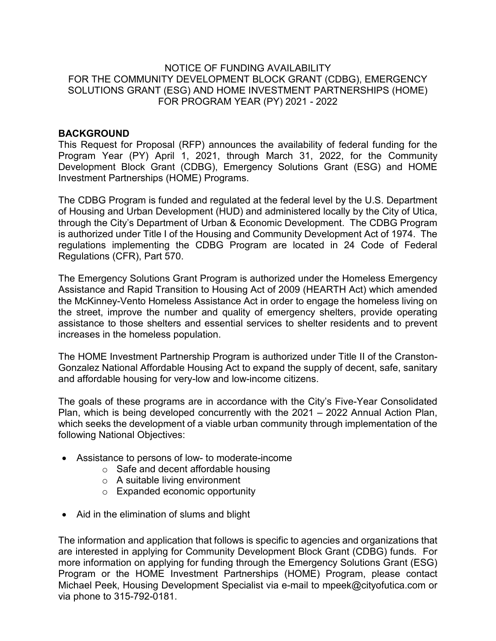#### NOTICE OF FUNDING AVAILABILITY FOR THE COMMUNITY DEVELOPMENT BLOCK GRANT (CDBG), EMERGENCY SOLUTIONS GRANT (ESG) AND HOME INVESTMENT PARTNERSHIPS (HOME) FOR PROGRAM YEAR (PY) 2021 - 2022

#### **BACKGROUND**

This Request for Proposal (RFP) announces the availability of federal funding for the Program Year (PY) April 1, 2021, through March 31, 2022, for the Community Development Block Grant (CDBG), Emergency Solutions Grant (ESG) and HOME Investment Partnerships (HOME) Programs.

The CDBG Program is funded and regulated at the federal level by the U.S. Department of Housing and Urban Development (HUD) and administered locally by the City of Utica, through the City's Department of Urban & Economic Development. The CDBG Program is authorized under Title I of the Housing and Community Development Act of 1974. The regulations implementing the CDBG Program are located in 24 Code of Federal Regulations (CFR), Part 570.

The Emergency Solutions Grant Program is authorized under the Homeless Emergency Assistance and Rapid Transition to Housing Act of 2009 (HEARTH Act) which amended the McKinney-Vento Homeless Assistance Act in order to engage the homeless living on the street, improve the number and quality of emergency shelters, provide operating assistance to those shelters and essential services to shelter residents and to prevent increases in the homeless population.

The HOME Investment Partnership Program is authorized under Title II of the Cranston-Gonzalez National Affordable Housing Act to expand the supply of decent, safe, sanitary and affordable housing for very-low and low-income citizens.

The goals of these programs are in accordance with the City's Five-Year Consolidated Plan, which is being developed concurrently with the 2021 – 2022 Annual Action Plan, which seeks the development of a viable urban community through implementation of the following National Objectives:

- Assistance to persons of low- to moderate-income
	- o Safe and decent affordable housing
	- o A suitable living environment
	- o Expanded economic opportunity
- Aid in the elimination of slums and blight

The information and application that follows is specific to agencies and organizations that are interested in applying for Community Development Block Grant (CDBG) funds. For more information on applying for funding through the Emergency Solutions Grant (ESG) Program or the HOME Investment Partnerships (HOME) Program, please contact Michael Peek, Housing Development Specialist via e-mail to mpeek@cityofutica.com or via phone to 315-792-0181.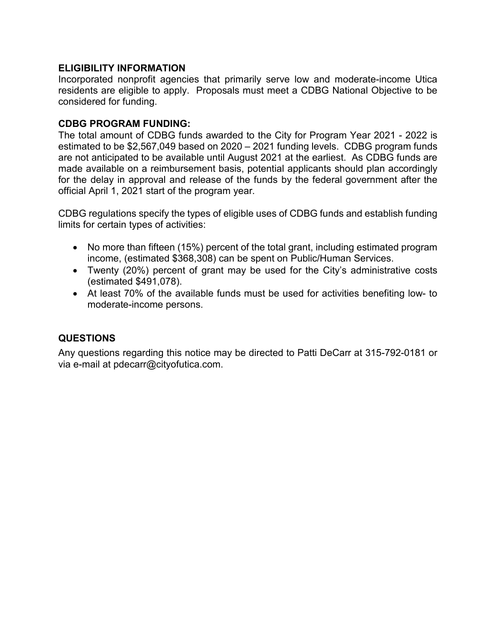#### **ELIGIBILITY INFORMATION**

Incorporated nonprofit agencies that primarily serve low and moderate-income Utica residents are eligible to apply. Proposals must meet a CDBG National Objective to be considered for funding.

#### **CDBG PROGRAM FUNDING:**

The total amount of CDBG funds awarded to the City for Program Year 2021 - 2022 is estimated to be \$2,567,049 based on 2020 – 2021 funding levels. CDBG program funds are not anticipated to be available until August 2021 at the earliest. As CDBG funds are made available on a reimbursement basis, potential applicants should plan accordingly for the delay in approval and release of the funds by the federal government after the official April 1, 2021 start of the program year.

CDBG regulations specify the types of eligible uses of CDBG funds and establish funding limits for certain types of activities:

- No more than fifteen (15%) percent of the total grant, including estimated program income, (estimated \$368,308) can be spent on Public/Human Services.
- Twenty (20%) percent of grant may be used for the City's administrative costs (estimated \$491,078).
- At least 70% of the available funds must be used for activities benefiting low- to moderate-income persons.

# **QUESTIONS**

Any questions regarding this notice may be directed to Patti DeCarr at 315-792-0181 or via e-mail at pdecarr@cityofutica.com.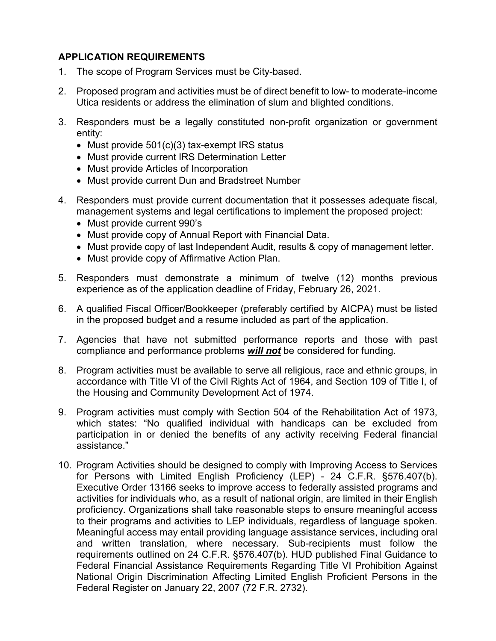# **APPLICATION REQUIREMENTS**

- 1. The scope of Program Services must be City-based.
- 2. Proposed program and activities must be of direct benefit to low- to moderate-income Utica residents or address the elimination of slum and blighted conditions.
- 3. Responders must be a legally constituted non-profit organization or government entity:
	- Must provide 501(c)(3) tax-exempt IRS status
	- Must provide current IRS Determination Letter
	- Must provide Articles of Incorporation
	- Must provide current Dun and Bradstreet Number
- 4. Responders must provide current documentation that it possesses adequate fiscal, management systems and legal certifications to implement the proposed project:
	- Must provide current 990's
	- Must provide copy of Annual Report with Financial Data.
	- Must provide copy of last Independent Audit, results & copy of management letter.
	- Must provide copy of Affirmative Action Plan.
- 5. Responders must demonstrate a minimum of twelve (12) months previous experience as of the application deadline of Friday, February 26, 2021.
- 6. A qualified Fiscal Officer/Bookkeeper (preferably certified by AICPA) must be listed in the proposed budget and a resume included as part of the application.
- 7. Agencies that have not submitted performance reports and those with past compliance and performance problems *will not* be considered for funding.
- 8. Program activities must be available to serve all religious, race and ethnic groups, in accordance with Title VI of the Civil Rights Act of 1964, and Section 109 of Title I, of the Housing and Community Development Act of 1974.
- 9. Program activities must comply with Section 504 of the Rehabilitation Act of 1973, which states: "No qualified individual with handicaps can be excluded from participation in or denied the benefits of any activity receiving Federal financial assistance."
- 10. Program Activities should be designed to comply with Improving Access to Services for Persons with Limited English Proficiency (LEP) - 24 C.F.R. §576.407(b). Executive Order 13166 seeks to improve access to federally assisted programs and activities for individuals who, as a result of national origin, are limited in their English proficiency. Organizations shall take reasonable steps to ensure meaningful access to their programs and activities to LEP individuals, regardless of language spoken. Meaningful access may entail providing language assistance services, including oral and written translation, where necessary. Sub-recipients must follow the requirements outlined on 24 C.F.R. §576.407(b). HUD published Final Guidance to Federal Financial Assistance Requirements Regarding Title VI Prohibition Against National Origin Discrimination Affecting Limited English Proficient Persons in the Federal Register on January 22, 2007 (72 F.R. 2732).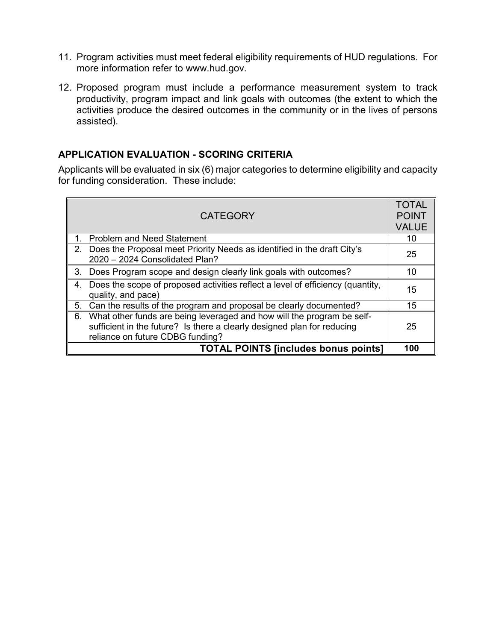- 11. Program activities must meet federal eligibility requirements of HUD regulations. For more information refer to [www.hud.gov.](http://www.hud.gov/)
- 12. Proposed program must include a performance measurement system to track productivity, program impact and link goals with outcomes (the extent to which the activities produce the desired outcomes in the community or in the lives of persons assisted).

#### **APPLICATION EVALUATION - SCORING CRITERIA**

Applicants will be evaluated in six (6) major categories to determine eligibility and capacity for funding consideration. These include:

|    | <b>CATEGORY</b>                                                                                                                                                                       | <b>TOTAL</b><br><b>POINT</b><br><b>VALUE</b> |
|----|---------------------------------------------------------------------------------------------------------------------------------------------------------------------------------------|----------------------------------------------|
|    | <b>Problem and Need Statement</b>                                                                                                                                                     | 10                                           |
|    | 2. Does the Proposal meet Priority Needs as identified in the draft City's<br>2020 - 2024 Consolidated Plan?                                                                          | 25                                           |
|    | 3. Does Program scope and design clearly link goals with outcomes?                                                                                                                    | 10                                           |
| 4. | Does the scope of proposed activities reflect a level of efficiency (quantity,<br>quality, and pace)                                                                                  | 15                                           |
| 5. | Can the results of the program and proposal be clearly documented?                                                                                                                    | 15                                           |
| 6. | What other funds are being leveraged and how will the program be self-<br>sufficient in the future? Is there a clearly designed plan for reducing<br>reliance on future CDBG funding? | 25                                           |
|    | <b>TOTAL POINTS [includes bonus points]</b>                                                                                                                                           | 100                                          |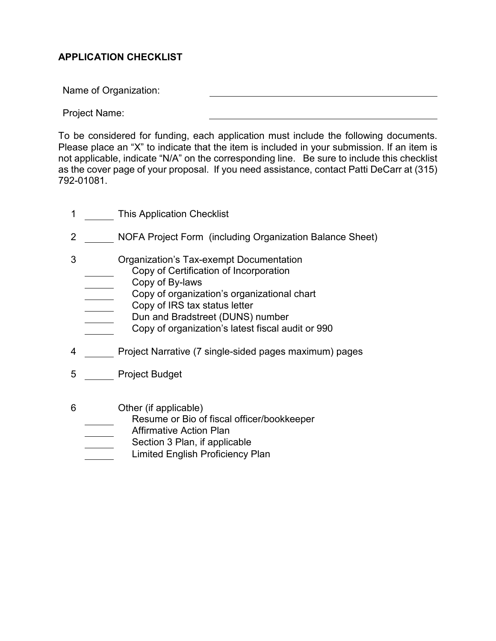# **APPLICATION CHECKLIST**

Name of Organization:

Project Name:

To be considered for funding, each application must include the following documents. Please place an "X" to indicate that the item is included in your submission. If an item is not applicable, indicate "N/A" on the corresponding line. Be sure to include this checklist as the cover page of your proposal. If you need assistance, contact Patti DeCarr at (315) 792-01081.

- 1 This Application Checklist
- 2 NOFA Project Form (including Organization Balance Sheet)
- 3 Organization's Tax-exempt Documentation
	- Copy of Certification of Incorporation
	- Copy of By-laws
	- Copy of organization's organizational chart
	- Copy of organization s organ<br>Copy of IRS tax status letter
		- Dun and Bradstreet (DUNS) number
			- Copy of organization's latest fiscal audit or 990
- 4 **Project Narrative (7 single-sided pages maximum) pages**
- 5 Project Budget
- 6 Other (if applicable)
	- Resume or Bio of fiscal officer/bookkeeper
	- Affirmative Action Plan
	- Section 3 Plan, if applicable
	- Limited English Proficiency Plan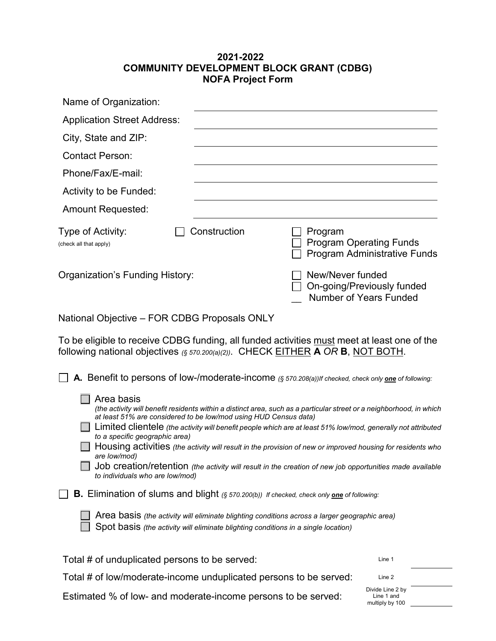#### **2021-2022 COMMUNITY DEVELOPMENT BLOCK GRANT (CDBG) NOFA Project Form**

| Name of Organization:                                                                                                                                                          |                                                                                                                                                                                                                                                                                                                                                                                                                                                                                                                                    |                                                                                  |        |
|--------------------------------------------------------------------------------------------------------------------------------------------------------------------------------|------------------------------------------------------------------------------------------------------------------------------------------------------------------------------------------------------------------------------------------------------------------------------------------------------------------------------------------------------------------------------------------------------------------------------------------------------------------------------------------------------------------------------------|----------------------------------------------------------------------------------|--------|
| <b>Application Street Address:</b>                                                                                                                                             |                                                                                                                                                                                                                                                                                                                                                                                                                                                                                                                                    |                                                                                  |        |
| City, State and ZIP:                                                                                                                                                           |                                                                                                                                                                                                                                                                                                                                                                                                                                                                                                                                    |                                                                                  |        |
| <b>Contact Person:</b>                                                                                                                                                         |                                                                                                                                                                                                                                                                                                                                                                                                                                                                                                                                    |                                                                                  |        |
| Phone/Fax/E-mail:                                                                                                                                                              |                                                                                                                                                                                                                                                                                                                                                                                                                                                                                                                                    |                                                                                  |        |
| Activity to be Funded:                                                                                                                                                         |                                                                                                                                                                                                                                                                                                                                                                                                                                                                                                                                    |                                                                                  |        |
| <b>Amount Requested:</b>                                                                                                                                                       |                                                                                                                                                                                                                                                                                                                                                                                                                                                                                                                                    |                                                                                  |        |
| Type of Activity:<br>(check all that apply)                                                                                                                                    | Construction                                                                                                                                                                                                                                                                                                                                                                                                                                                                                                                       | Program<br><b>Program Operating Funds</b><br><b>Program Administrative Funds</b> |        |
| Organization's Funding History:                                                                                                                                                |                                                                                                                                                                                                                                                                                                                                                                                                                                                                                                                                    | New/Never funded<br>On-going/Previously funded<br><b>Number of Years Funded</b>  |        |
| National Objective - FOR CDBG Proposals ONLY                                                                                                                                   |                                                                                                                                                                                                                                                                                                                                                                                                                                                                                                                                    |                                                                                  |        |
| To be eligible to receive CDBG funding, all funded activities must meet at least one of the<br>following national objectives (§ 570.200(a)(2)). CHECK EITHER A OR B, NOT BOTH. |                                                                                                                                                                                                                                                                                                                                                                                                                                                                                                                                    |                                                                                  |        |
|                                                                                                                                                                                | A. Benefit to persons of low-/moderate-income (§ 570.208(a))If checked, check only one of following:                                                                                                                                                                                                                                                                                                                                                                                                                               |                                                                                  |        |
| Area basis<br>to a specific geographic area)<br>are low/mod)<br>to individuals who are low/mod)                                                                                | (the activity will benefit residents within a distinct area, such as a particular street or a neighborhood, in which<br>at least 51% are considered to be low/mod using HUD Census data)<br>Limited clientele (the activity will benefit people which are at least 51% low/mod, generally not attributed<br>Housing activities (the activity will result in the provision of new or improved housing for residents who<br>Job creation/retention (the activity will result in the creation of new job opportunities made available |                                                                                  |        |
|                                                                                                                                                                                | <b>B.</b> Elimination of slums and blight (§ 570.200(b)) If checked, check only <b>one</b> of following:                                                                                                                                                                                                                                                                                                                                                                                                                           |                                                                                  |        |
|                                                                                                                                                                                | Area basis (the activity will eliminate blighting conditions across a larger geographic area)<br>Spot basis (the activity will eliminate blighting conditions in a single location)                                                                                                                                                                                                                                                                                                                                                |                                                                                  |        |
| Total # of unduplicated persons to be served:                                                                                                                                  |                                                                                                                                                                                                                                                                                                                                                                                                                                                                                                                                    |                                                                                  | Line 1 |
| Total # of low/moderate-income unduplicated persons to be served:                                                                                                              |                                                                                                                                                                                                                                                                                                                                                                                                                                                                                                                                    |                                                                                  | Line 2 |

Estimated % of low- and moderate-income persons to be served:

Line 1 and multiply by 100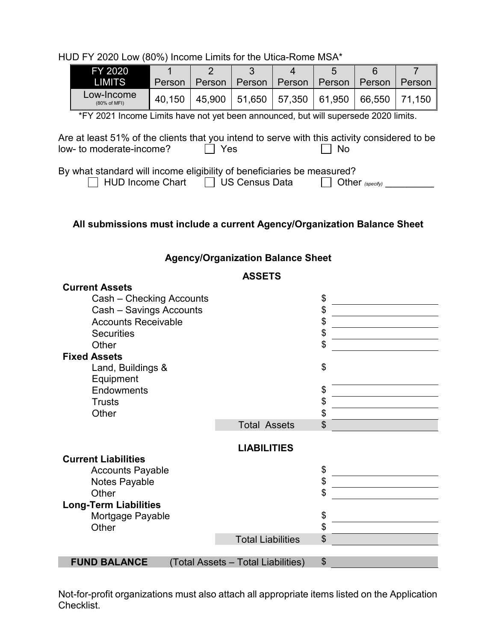HUD FY 2020 Low (80%) Income Limits for the Utica-Rome MSA\*

| FY 2020                    |        |        |        |        | ∽      |                                            |        |
|----------------------------|--------|--------|--------|--------|--------|--------------------------------------------|--------|
| <b>LIMITST</b>             | Person | Person | Person | Person | Person | Person                                     | Person |
| _ow-Income<br>(80% of MFI) | 40.150 |        |        |        |        | 45,900   51,650   57,350   61,950   66,550 | 71.150 |

\*FY 2021 Income Limits have not yet been announced, but will supersede 2020 limits.

Are at least 51% of the clients that you intend to serve with this activity considered to be low- to moderate-income?  $\Box$  Yes  $\Box$  No  $low$ - to moderate-income?  $\Box$  Yes  $\Box$  No

By what standard will income eligibility of beneficiaries be measured?<br>  $\Box$  HUD Income Chart  $\Box$  US Census Data  $\Box$  Other (specify) \_\_\_\_\_\_\_\_

HUD Income Chart **II** US Census Data

# **All submissions must include a current Agency/Organization Balance Sheet**

#### **Agency/Organization Balance Sheet**

#### **ASSETS**

| <b>Current Assets</b>        |                                    |    |
|------------------------------|------------------------------------|----|
| Cash - Checking Accounts     |                                    | \$ |
| Cash - Savings Accounts      |                                    | \$ |
| <b>Accounts Receivable</b>   |                                    | \$ |
| <b>Securities</b>            |                                    | \$ |
| Other                        |                                    | \$ |
| <b>Fixed Assets</b>          |                                    |    |
| Land, Buildings &            |                                    | \$ |
| Equipment                    |                                    |    |
| <b>Endowments</b>            |                                    | \$ |
| <b>Trusts</b>                |                                    | \$ |
| Other                        |                                    | \$ |
|                              | <b>Total Assets</b>                | \$ |
|                              | <b>LIABILITIES</b>                 |    |
| <b>Current Liabilities</b>   |                                    |    |
| <b>Accounts Payable</b>      |                                    | \$ |
| Notes Payable                |                                    | \$ |
| Other                        |                                    | \$ |
| <b>Long-Term Liabilities</b> |                                    |    |
| Mortgage Payable             |                                    | \$ |
| Other                        |                                    | \$ |
|                              | <b>Total Liabilities</b>           | \$ |
|                              |                                    |    |
| <b>FUND BALANCE</b>          | (Total Assets - Total Liabilities) | \$ |

Not-for-profit organizations must also attach all appropriate items listed on the Application Checklist.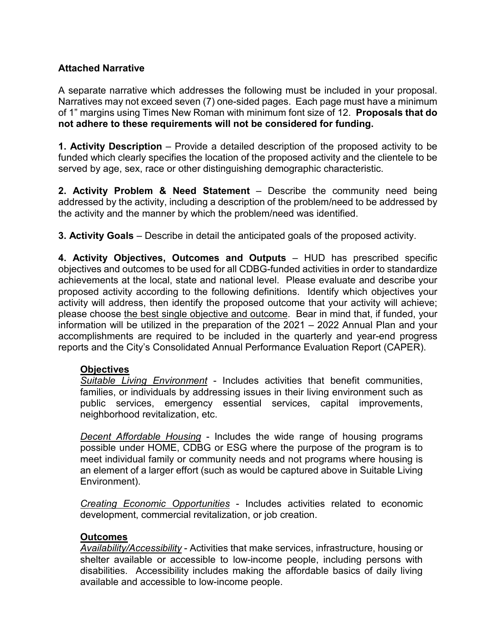# **Attached Narrative**

A separate narrative which addresses the following must be included in your proposal. Narratives may not exceed seven (7) one-sided pages. Each page must have a minimum of 1" margins using Times New Roman with minimum font size of 12. **Proposals that do not adhere to these requirements will not be considered for funding.**

**1. Activity Description** – Provide a detailed description of the proposed activity to be funded which clearly specifies the location of the proposed activity and the clientele to be served by age, sex, race or other distinguishing demographic characteristic.

**2. Activity Problem & Need Statement** – Describe the community need being addressed by the activity, including a description of the problem/need to be addressed by the activity and the manner by which the problem/need was identified.

**3. Activity Goals** – Describe in detail the anticipated goals of the proposed activity.

**4. Activity Objectives, Outcomes and Outputs** – HUD has prescribed specific objectives and outcomes to be used for all CDBG-funded activities in order to standardize achievements at the local, state and national level. Please evaluate and describe your proposed activity according to the following definitions. Identify which objectives your activity will address, then identify the proposed outcome that your activity will achieve; please choose the best single objective and outcome. Bear in mind that, if funded, your information will be utilized in the preparation of the 2021 – 2022 Annual Plan and your accomplishments are required to be included in the quarterly and year-end progress reports and the City's Consolidated Annual Performance Evaluation Report (CAPER).

#### **Objectives**

*Suitable Living Environment* - Includes activities that benefit communities, families, or individuals by addressing issues in their living environment such as public services, emergency essential services, capital improvements, neighborhood revitalization, etc.

*Decent Affordable Housing* - Includes the wide range of housing programs possible under HOME, CDBG or ESG where the purpose of the program is to meet individual family or community needs and not programs where housing is an element of a larger effort (such as would be captured above in Suitable Living Environment).

*Creating Economic Opportunities* - Includes activities related to economic development, commercial revitalization, or job creation.

#### **Outcomes**

*Availability/Accessibility* - Activities that make services, infrastructure, housing or shelter available or accessible to low-income people, including persons with disabilities. Accessibility includes making the affordable basics of daily living available and accessible to low-income people.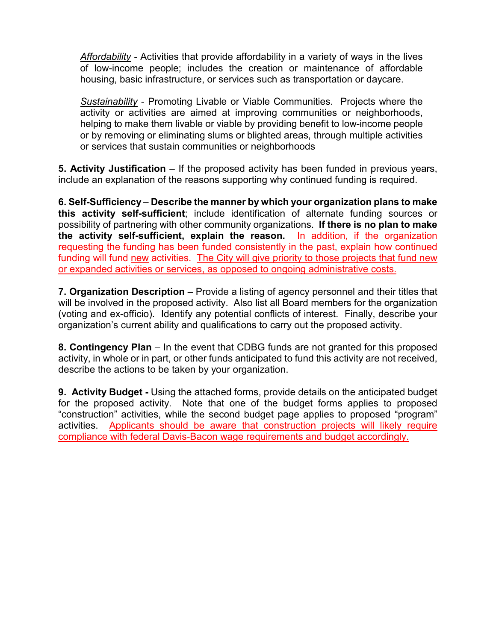*Affordability* - Activities that provide affordability in a variety of ways in the lives of low-income people; includes the creation or maintenance of affordable housing, basic infrastructure, or services such as transportation or daycare.

*Sustainability* - Promoting Livable or Viable Communities. Projects where the activity or activities are aimed at improving communities or neighborhoods, helping to make them livable or viable by providing benefit to low-income people or by removing or eliminating slums or blighted areas, through multiple activities or services that sustain communities or neighborhoods

**5. Activity Justification** – If the proposed activity has been funded in previous years, include an explanation of the reasons supporting why continued funding is required.

**6. Self-Sufficiency** – **Describe the manner by which your organization plans to make this activity self-sufficient**; include identification of alternate funding sources or possibility of partnering with other community organizations. **If there is no plan to make the activity self-sufficient, explain the reason.** In addition, if the organization requesting the funding has been funded consistently in the past, explain how continued funding will fund new activities. The City will give priority to those projects that fund new or expanded activities or services, as opposed to ongoing administrative costs.

**7. Organization Description** – Provide a listing of agency personnel and their titles that will be involved in the proposed activity. Also list all Board members for the organization (voting and ex-officio). Identify any potential conflicts of interest. Finally, describe your organization's current ability and qualifications to carry out the proposed activity.

**8. Contingency Plan** – In the event that CDBG funds are not granted for this proposed activity, in whole or in part, or other funds anticipated to fund this activity are not received, describe the actions to be taken by your organization.

**9. Activity Budget -** Using the attached forms, provide details on the anticipated budget for the proposed activity. Note that one of the budget forms applies to proposed "construction" activities, while the second budget page applies to proposed "program" activities. Applicants should be aware that construction projects will likely require compliance with federal Davis-Bacon wage requirements and budget accordingly.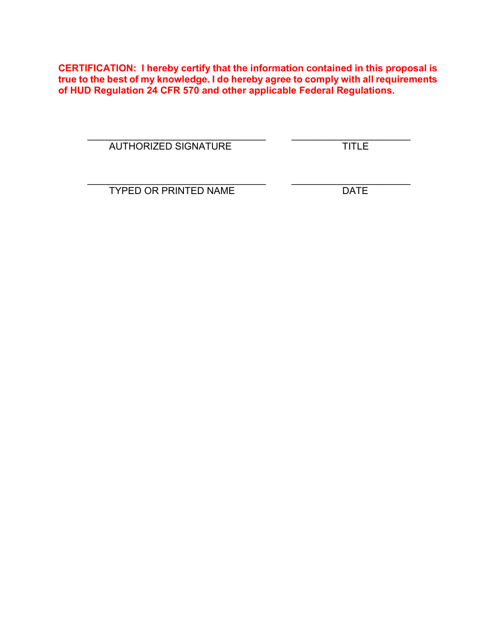**CERTIFICATION: I hereby certify that the information contained in this proposal is true to the best of my knowledge. I do hereby agree to comply with all requirements of HUD Regulation 24 CFR 570 and other applicable Federal Regulations.**

AUTHORIZED SIGNATURE TITLE

\_\_\_\_\_\_\_\_\_\_\_\_\_\_\_\_\_\_\_\_\_\_\_\_\_\_\_\_\_\_\_\_\_ \_\_\_\_\_\_\_\_\_\_\_\_\_\_\_\_\_\_\_\_\_\_

\_\_\_\_\_\_\_\_\_\_\_\_\_\_\_\_\_\_\_\_\_\_\_\_\_\_\_\_\_\_\_\_\_ \_\_\_\_\_\_\_\_\_\_\_\_\_\_\_\_\_\_\_\_\_\_ TYPED OR PRINTED NAME DATE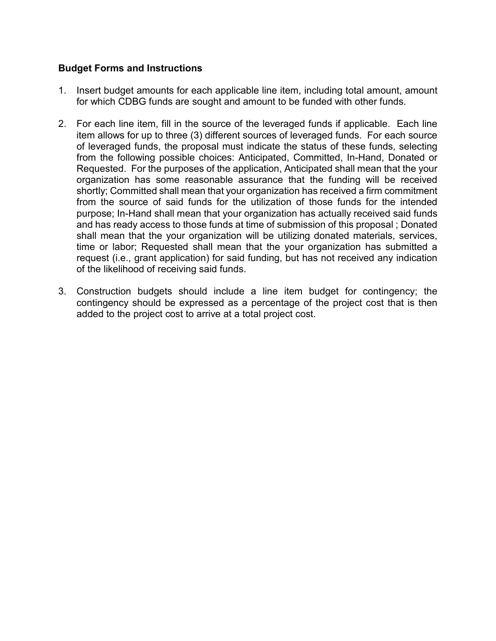#### **Budget Forms and Instructions**

- 1. Insert budget amounts for each applicable line item, including total amount, amount for which CDBG funds are sought and amount to be funded with other funds.
- 2. For each line item, fill in the source of the leveraged funds if applicable. Each line item allows for up to three (3) different sources of leveraged funds. For each source of leveraged funds, the proposal must indicate the status of these funds, selecting from the following possible choices: Anticipated, Committed, In-Hand, Donated or Requested. For the purposes of the application, Anticipated shall mean that the your organization has some reasonable assurance that the funding will be received shortly; Committed shall mean that your organization has received a firm commitment from the source of said funds for the utilization of those funds for the intended purpose; In-Hand shall mean that your organization has actually received said funds and has ready access to those funds at time of submission of this proposal ; Donated shall mean that the your organization will be utilizing donated materials, services, time or labor; Requested shall mean that the your organization has submitted a request (i.e., grant application) for said funding, but has not received any indication of the likelihood of receiving said funds.
- 3. Construction budgets should include a line item budget for contingency; the contingency should be expressed as a percentage of the project cost that is then added to the project cost to arrive at a total project cost.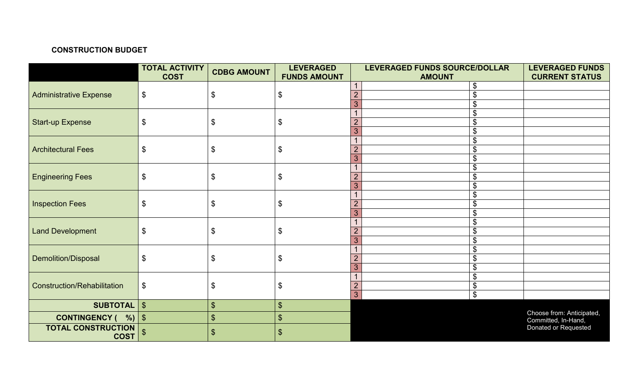# **CONSTRUCTION BUDGET**

|                                          | <b>TOTAL ACTIVITY</b>     | <b>CDBG AMOUNT</b>         | <b>LEVERAGED</b>           |                | LEVERAGED FUNDS SOURCE/DOLLAR |  | <b>LEVERAGED FUNDS</b>    |
|------------------------------------------|---------------------------|----------------------------|----------------------------|----------------|-------------------------------|--|---------------------------|
|                                          | <b>COST</b>               |                            | <b>FUNDS AMOUNT</b>        |                | <b>AMOUNT</b>                 |  | <b>CURRENT STATUS</b>     |
|                                          |                           |                            |                            |                | \$                            |  |                           |
| <b>Administrative Expense</b>            | $\boldsymbol{\theta}$     | \$                         | \$                         | $\overline{2}$ | $\boldsymbol{\mathsf{S}}$     |  |                           |
|                                          |                           |                            |                            | 3              | $\boldsymbol{\theta}$         |  |                           |
|                                          |                           |                            |                            |                | $\$\$                         |  |                           |
| <b>Start-up Expense</b>                  | $\$\$                     | $\boldsymbol{\mathsf{S}}$  | $\$\$                      |                | $\boldsymbol{\theta}$         |  |                           |
|                                          |                           |                            |                            | 3              | $\boldsymbol{\theta}$         |  |                           |
|                                          |                           |                            |                            |                | $\boldsymbol{\theta}$         |  |                           |
| <b>Architectural Fees</b>                | $\boldsymbol{\theta}$     | $\boldsymbol{\mathsf{\$}}$ | $\boldsymbol{\theta}$      |                | $\boldsymbol{\theta}$         |  |                           |
|                                          |                           |                            |                            | $\overline{3}$ | $\boldsymbol{\theta}$         |  |                           |
|                                          |                           |                            |                            |                | \$                            |  |                           |
| <b>Engineering Fees</b>                  | $\$\$                     | \$                         | $\$\$                      |                | $\boldsymbol{\mathsf{S}}$     |  |                           |
|                                          |                           |                            |                            | 3              | $\boldsymbol{\theta}$         |  |                           |
|                                          |                           |                            |                            |                | $\boldsymbol{\mathsf{S}}$     |  |                           |
| <b>Inspection Fees</b>                   | $\boldsymbol{\mathsf{S}}$ | $\boldsymbol{\mathsf{S}}$  | $\$\$                      |                | $\boldsymbol{\theta}$         |  |                           |
|                                          |                           |                            |                            | 3              | $\boldsymbol{\theta}$         |  |                           |
|                                          |                           |                            |                            |                | $\boldsymbol{\mathsf{\$}}$    |  |                           |
| <b>Land Development</b>                  | $\boldsymbol{\theta}$     | $\boldsymbol{\mathsf{\$}}$ | $\boldsymbol{\$}$          |                | $\boldsymbol{\theta}$         |  |                           |
|                                          |                           |                            |                            | 3              | $\boldsymbol{\theta}$         |  |                           |
|                                          |                           |                            |                            |                | \$                            |  |                           |
| Demolition/Disposal                      | $\$\$                     | $\boldsymbol{\mathsf{\$}}$ | $\$\$                      | $\overline{2}$ | $\boldsymbol{\theta}$         |  |                           |
|                                          |                           |                            |                            | 3              | $\boldsymbol{\theta}$         |  |                           |
|                                          |                           |                            |                            |                | $\boldsymbol{\theta}$         |  |                           |
| <b>Construction/Rehabilitation</b>       | $\boldsymbol{\mathsf{S}}$ | $\boldsymbol{\theta}$      | $\boldsymbol{\mathsf{\$}}$ |                | $\boldsymbol{\theta}$         |  |                           |
|                                          |                           |                            |                            | 3              | $\boldsymbol{\mathsf{\$}}$    |  |                           |
| <b>SUBTOTAL</b>                          | $\sqrt[6]{\frac{1}{2}}$   | $\frac{1}{2}$              | $\sqrt{2}$                 |                |                               |  |                           |
| <b>CONTINGENCY (</b><br>%                | 1\$                       | $\boldsymbol{\mathsf{S}}$  | $\boldsymbol{\mathsf{S}}$  |                |                               |  | Choose from: Anticipated, |
|                                          |                           |                            |                            |                |                               |  | Committed, In-Hand,       |
| <b>TOTAL CONSTRUCTION</b><br><b>COST</b> | $\boldsymbol{\mathsf{S}}$ | $\frac{1}{2}$              | $\sqrt[6]{\frac{1}{2}}$    |                |                               |  | Donated or Requested      |